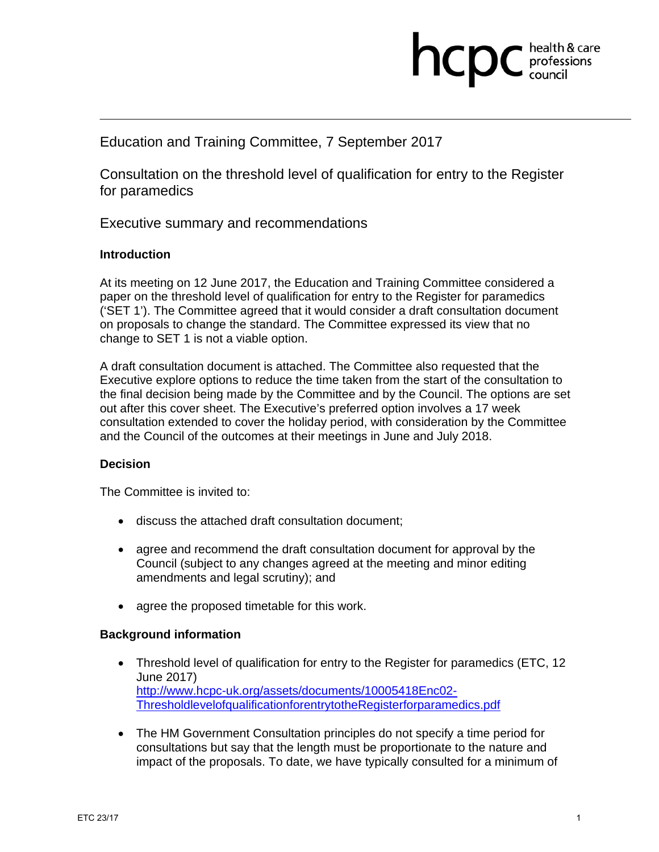# **health & care**

# Education and Training Committee, 7 September 2017

Consultation on the threshold level of qualification for entry to the Register for paramedics

Executive summary and recommendations

## **Introduction**

At its meeting on 12 June 2017, the Education and Training Committee considered a paper on the threshold level of qualification for entry to the Register for paramedics ('SET 1'). The Committee agreed that it would consider a draft consultation document on proposals to change the standard. The Committee expressed its view that no change to SET 1 is not a viable option.

A draft consultation document is attached. The Committee also requested that the Executive explore options to reduce the time taken from the start of the consultation to the final decision being made by the Committee and by the Council. The options are set out after this cover sheet. The Executive's preferred option involves a 17 week consultation extended to cover the holiday period, with consideration by the Committee and the Council of the outcomes at their meetings in June and July 2018.

## **Decision**

The Committee is invited to:

- discuss the attached draft consultation document;
- agree and recommend the draft consultation document for approval by the Council (subject to any changes agreed at the meeting and minor editing amendments and legal scrutiny); and
- agree the proposed timetable for this work.

## **Background information**

- Threshold level of qualification for entry to the Register for paramedics (ETC, 12 June 2017) http://www.hcpc-uk.org/assets/documents/10005418Enc02- ThresholdlevelofqualificationforentrytotheRegisterforparamedics.pdf
- The HM Government Consultation principles do not specify a time period for consultations but say that the length must be proportionate to the nature and impact of the proposals. To date, we have typically consulted for a minimum of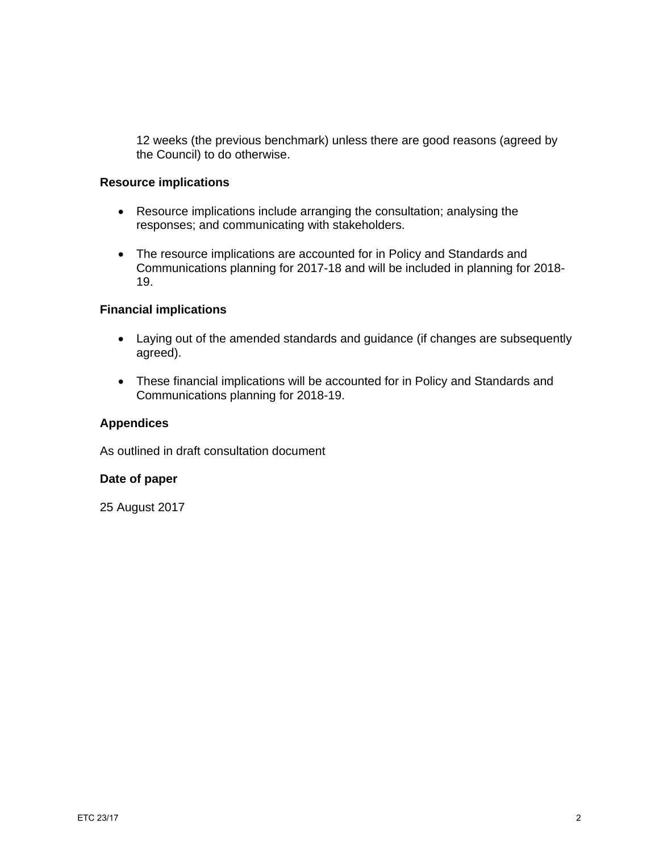12 weeks (the previous benchmark) unless there are good reasons (agreed by the Council) to do otherwise.

#### **Resource implications**

- Resource implications include arranging the consultation; analysing the responses; and communicating with stakeholders.
- The resource implications are accounted for in Policy and Standards and Communications planning for 2017-18 and will be included in planning for 2018- 19.

# **Financial implications**

- Laying out of the amended standards and guidance (if changes are subsequently agreed).
- These financial implications will be accounted for in Policy and Standards and Communications planning for 2018-19.

## **Appendices**

As outlined in draft consultation document

## **Date of paper**

25 August 2017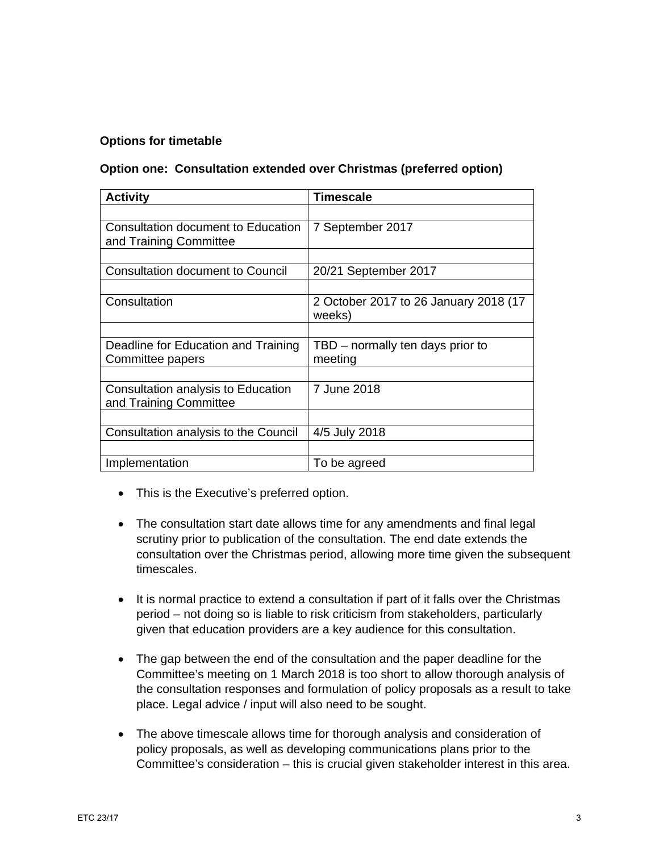## **Options for timetable**

## **Option one: Consultation extended over Christmas (preferred option)**

| <b>Activity</b>                                                     | <b>Timescale</b>                                |
|---------------------------------------------------------------------|-------------------------------------------------|
|                                                                     |                                                 |
| <b>Consultation document to Education</b><br>and Training Committee | 7 September 2017                                |
|                                                                     |                                                 |
| <b>Consultation document to Council</b>                             | 20/21 September 2017                            |
|                                                                     |                                                 |
| Consultation                                                        | 2 October 2017 to 26 January 2018 (17<br>weeks) |
|                                                                     |                                                 |
| Deadline for Education and Training                                 | TBD – normally ten days prior to                |
| Committee papers                                                    | meeting                                         |
|                                                                     |                                                 |
| Consultation analysis to Education<br>and Training Committee        | 7 June 2018                                     |
|                                                                     |                                                 |
| Consultation analysis to the Council                                | 4/5 July 2018                                   |
|                                                                     |                                                 |
| Implementation                                                      | To be agreed                                    |

- This is the Executive's preferred option.
- The consultation start date allows time for any amendments and final legal scrutiny prior to publication of the consultation. The end date extends the consultation over the Christmas period, allowing more time given the subsequent timescales.
- It is normal practice to extend a consultation if part of it falls over the Christmas period – not doing so is liable to risk criticism from stakeholders, particularly given that education providers are a key audience for this consultation.
- The gap between the end of the consultation and the paper deadline for the Committee's meeting on 1 March 2018 is too short to allow thorough analysis of the consultation responses and formulation of policy proposals as a result to take place. Legal advice / input will also need to be sought.
- The above timescale allows time for thorough analysis and consideration of policy proposals, as well as developing communications plans prior to the Committee's consideration – this is crucial given stakeholder interest in this area.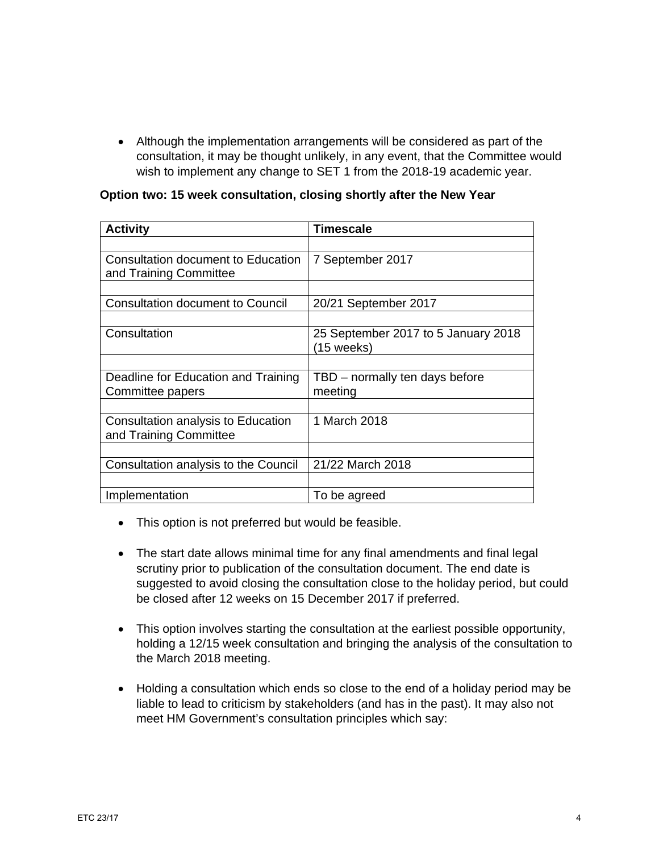Although the implementation arrangements will be considered as part of the consultation, it may be thought unlikely, in any event, that the Committee would wish to implement any change to SET 1 from the 2018-19 academic year.

|  | Option two: 15 week consultation, closing shortly after the New Year |
|--|----------------------------------------------------------------------|
|--|----------------------------------------------------------------------|

| <b>Activity</b>                                              | Timescale                                         |
|--------------------------------------------------------------|---------------------------------------------------|
|                                                              |                                                   |
| Consultation document to Education<br>and Training Committee | 7 September 2017                                  |
|                                                              |                                                   |
| <b>Consultation document to Council</b>                      | 20/21 September 2017                              |
|                                                              |                                                   |
| Consultation                                                 | 25 September 2017 to 5 January 2018<br>(15 weeks) |
|                                                              |                                                   |
| Deadline for Education and Training                          | TBD – normally ten days before                    |
| Committee papers                                             | meeting                                           |
|                                                              |                                                   |
| Consultation analysis to Education<br>and Training Committee | 1 March 2018                                      |
|                                                              |                                                   |
| Consultation analysis to the Council                         | 21/22 March 2018                                  |
|                                                              |                                                   |
| Implementation                                               | To be agreed                                      |

- This option is not preferred but would be feasible.
- The start date allows minimal time for any final amendments and final legal scrutiny prior to publication of the consultation document. The end date is suggested to avoid closing the consultation close to the holiday period, but could be closed after 12 weeks on 15 December 2017 if preferred.
- This option involves starting the consultation at the earliest possible opportunity, holding a 12/15 week consultation and bringing the analysis of the consultation to the March 2018 meeting.
- Holding a consultation which ends so close to the end of a holiday period may be liable to lead to criticism by stakeholders (and has in the past). It may also not meet HM Government's consultation principles which say: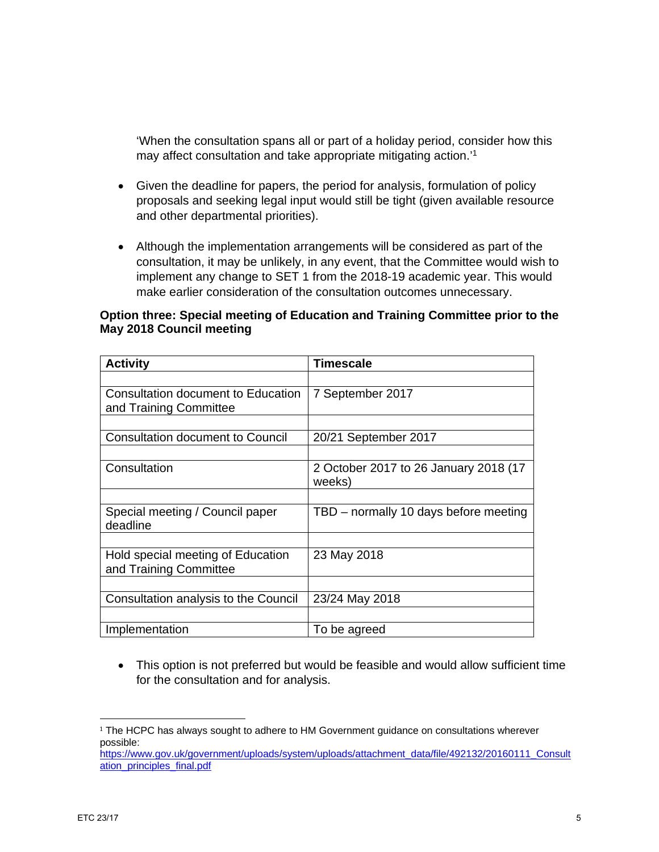'When the consultation spans all or part of a holiday period, consider how this may affect consultation and take appropriate mitigating action.'1

- Given the deadline for papers, the period for analysis, formulation of policy proposals and seeking legal input would still be tight (given available resource and other departmental priorities).
- Although the implementation arrangements will be considered as part of the consultation, it may be unlikely, in any event, that the Committee would wish to implement any change to SET 1 from the 2018-19 academic year. This would make earlier consideration of the consultation outcomes unnecessary.

#### **Option three: Special meeting of Education and Training Committee prior to the May 2018 Council meeting**

| <b>Activity</b>                         | <b>Timescale</b>                      |
|-----------------------------------------|---------------------------------------|
|                                         |                                       |
| Consultation document to Education      | 7 September 2017                      |
| and Training Committee                  |                                       |
|                                         |                                       |
| <b>Consultation document to Council</b> | 20/21 September 2017                  |
|                                         |                                       |
| Consultation                            | 2 October 2017 to 26 January 2018 (17 |
|                                         | weeks)                                |
|                                         |                                       |
| Special meeting / Council paper         | TBD - normally 10 days before meeting |
| deadline                                |                                       |
|                                         |                                       |
| Hold special meeting of Education       | 23 May 2018                           |
| and Training Committee                  |                                       |
|                                         |                                       |
| Consultation analysis to the Council    | 23/24 May 2018                        |
|                                         |                                       |
| Implementation                          | To be agreed                          |

 This option is not preferred but would be feasible and would allow sufficient time for the consultation and for analysis.

 

<sup>&</sup>lt;sup>1</sup> The HCPC has always sought to adhere to HM Government guidance on consultations wherever possible: https://www.gov.uk/government/uploads/system/uploads/attachment\_data/file/492132/20160111\_Consult

ation\_principles\_final.pdf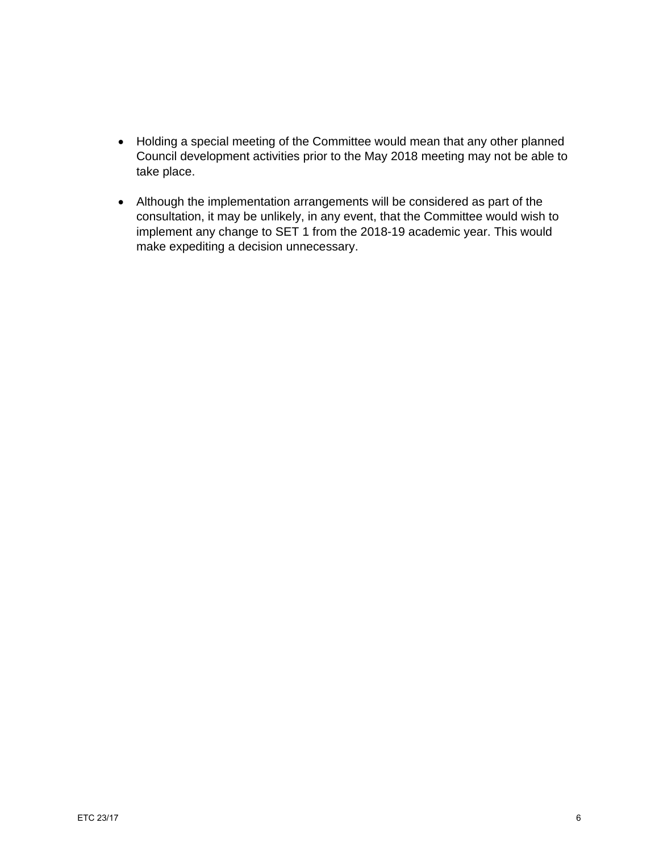- Holding a special meeting of the Committee would mean that any other planned Council development activities prior to the May 2018 meeting may not be able to take place.
- Although the implementation arrangements will be considered as part of the consultation, it may be unlikely, in any event, that the Committee would wish to implement any change to SET 1 from the 2018-19 academic year. This would make expediting a decision unnecessary.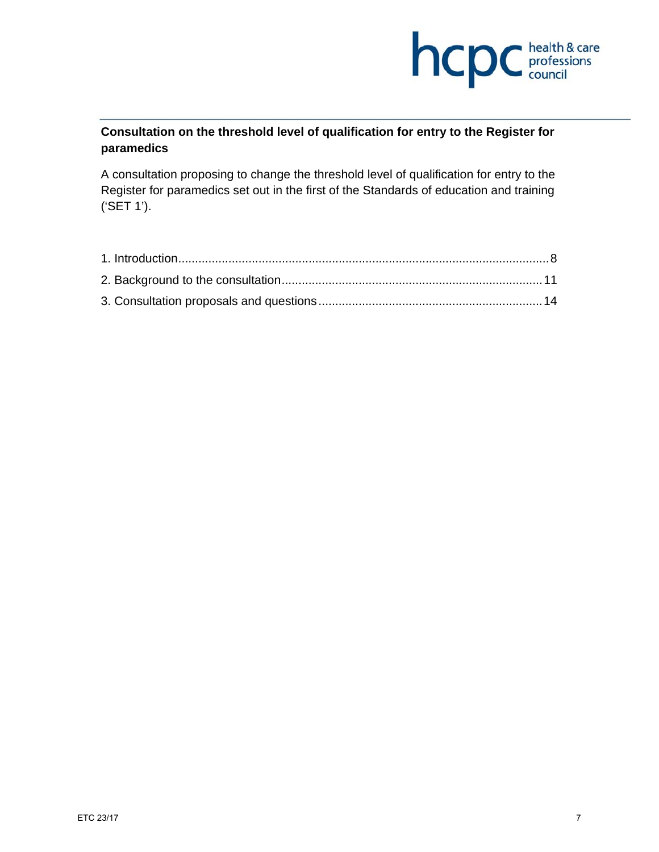

# **Consultation on the threshold level of qualification for entry to the Register for paramedics**

A consultation proposing to change the threshold level of qualification for entry to the Register for paramedics set out in the first of the Standards of education and training ('SET 1').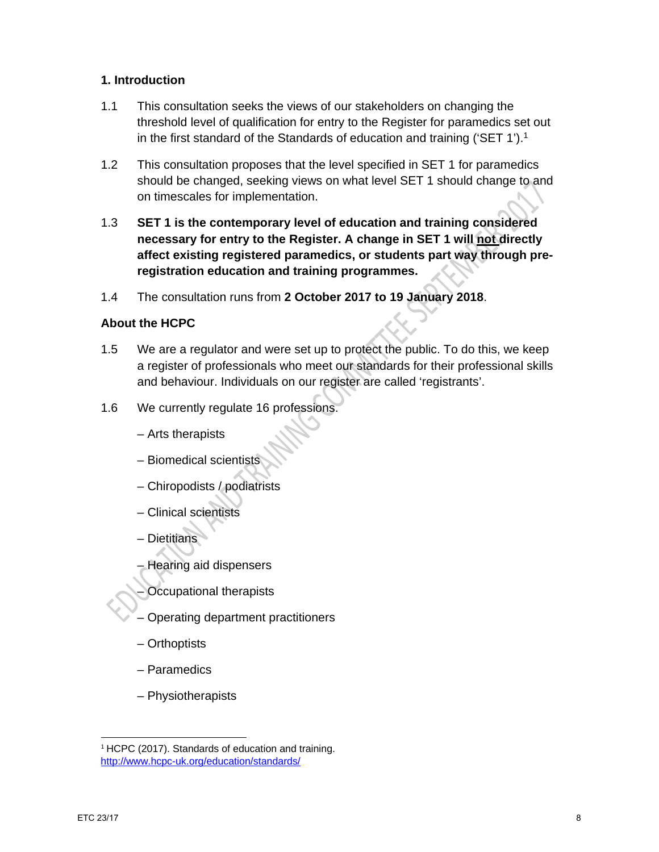## **1. Introduction**

- 1.1 This consultation seeks the views of our stakeholders on changing the threshold level of qualification for entry to the Register for paramedics set out in the first standard of the Standards of education and training ('SET 1').1
- 1.2 This consultation proposes that the level specified in SET 1 for paramedics should be changed, seeking views on what level SET 1 should change to and on timescales for implementation.
- 1.3 **SET 1 is the contemporary level of education and training considered necessary for entry to the Register. A change in SET 1 will not directly affect existing registered paramedics, or students part way through preregistration education and training programmes.**
- 1.4 The consultation runs from **2 October 2017 to 19 January 2018**.

# **About the HCPC**

- 1.5 We are a regulator and were set up to protect the public. To do this, we keep a register of professionals who meet our standards for their professional skills and behaviour. Individuals on our register are called 'registrants'.
- 1.6 We currently regulate 16 professions.
	- Arts therapists
	- Biomedical scientists
	- Chiropodists / podiatrists
	- Clinical scientists
	- Dietitians
	- Hearing aid dispensers
	- Occupational therapists
	- Operating department practitioners
	- Orthoptists
	- Paramedics

– Physiotherapists

<sup>&</sup>lt;sup>1</sup> HCPC (2017). Standards of education and training. http://www.hcpc-uk.org/education/standards/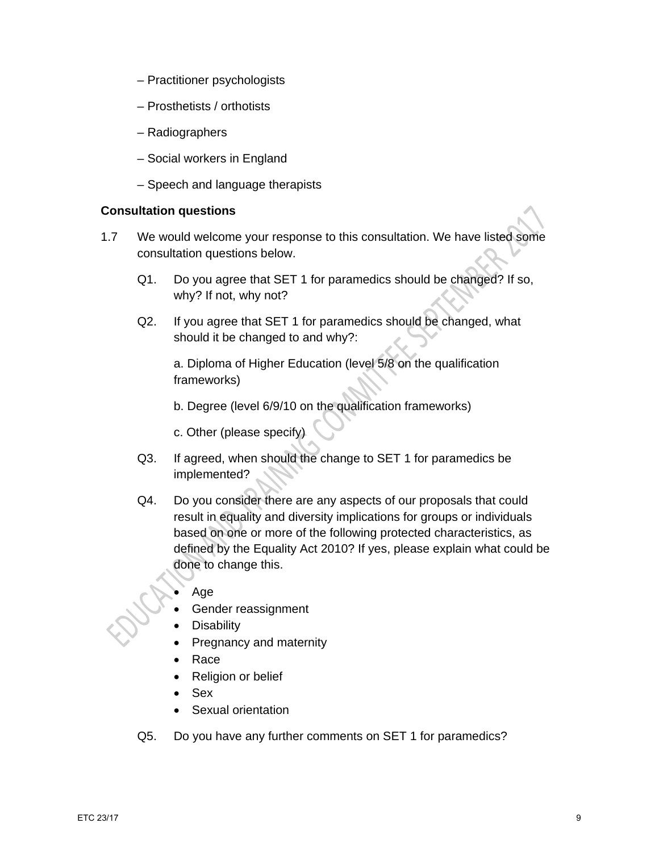- Practitioner psychologists
- Prosthetists / orthotists
- Radiographers
- Social workers in England
- Speech and language therapists

## **Consultation questions**

- 1.7 We would welcome your response to this consultation. We have listed some consultation questions below.
	- Q1. Do you agree that SET 1 for paramedics should be changed? If so, why? If not, why not?
	- Q2. If you agree that SET 1 for paramedics should be changed, what should it be changed to and why?:

a. Diploma of Higher Education (level 5/8 on the qualification frameworks)

b. Degree (level 6/9/10 on the qualification frameworks)

c. Other (please specify)

- Q3. If agreed, when should the change to SET 1 for paramedics be implemented?
- Q4. Do you consider there are any aspects of our proposals that could result in equality and diversity implications for groups or individuals based on one or more of the following protected characteristics, as defined by the Equality Act 2010? If yes, please explain what could be done to change this.
	- Age
	- Gender reassignment
	- **Disability**
	- Pregnancy and maternity
	- Race
	- Religion or belief
	- Sex
	- Sexual orientation
- Q5. Do you have any further comments on SET 1 for paramedics?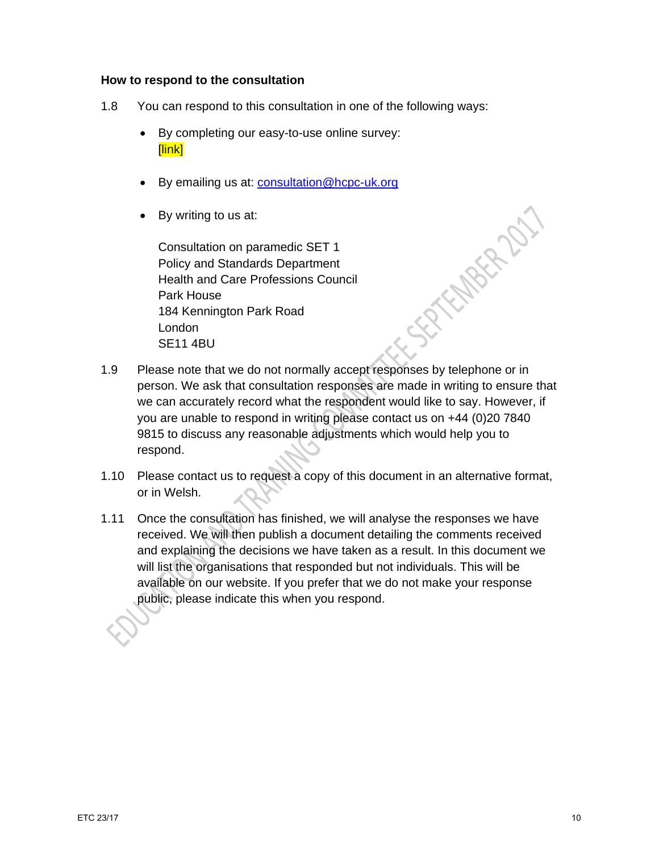#### **How to respond to the consultation**

- 1.8 You can respond to this consultation in one of the following ways:
	- By completing our easy-to-use online survey: [link]
	- By emailing us at: **consultation@hcpc-uk.org**
	- By writing to us at:

Consultation on paramedic SET 1 Policy and Standards Department Health and Care Professions Council Park House 184 Kennington Park Road London SE11 4BU

1.9 Please note that we do not normally accept responses by telephone or in person. We ask that consultation responses are made in writing to ensure that we can accurately record what the respondent would like to say. However, if you are unable to respond in writing please contact us on +44 (0)20 7840 9815 to discuss any reasonable adjustments which would help you to respond.

SPACE ROLL

- 1.10 Please contact us to request a copy of this document in an alternative format, or in Welsh.
- 1.11 Once the consultation has finished, we will analyse the responses we have received. We will then publish a document detailing the comments received and explaining the decisions we have taken as a result. In this document we will list the organisations that responded but not individuals. This will be available on our website. If you prefer that we do not make your response public, please indicate this when you respond.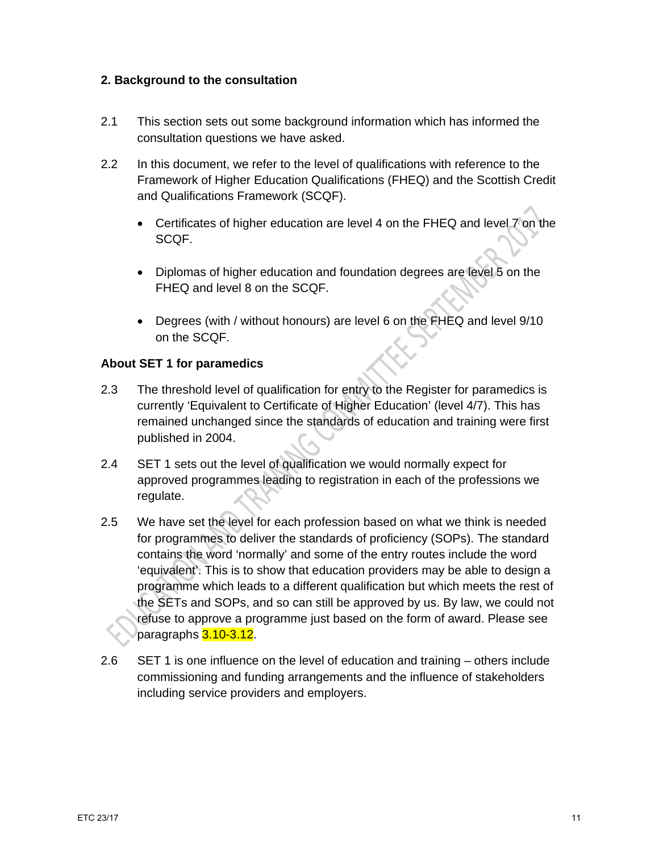## **2. Background to the consultation**

- 2.1 This section sets out some background information which has informed the consultation questions we have asked.
- 2.2 In this document, we refer to the level of qualifications with reference to the Framework of Higher Education Qualifications (FHEQ) and the Scottish Credit and Qualifications Framework (SCQF).
	- Certificates of higher education are level 4 on the FHEQ and level 7 on the SCQF.
	- Diplomas of higher education and foundation degrees are level 5 on the FHEQ and level 8 on the SCQF.
	- Degrees (with / without honours) are level 6 on the FHEQ and level 9/10 on the SCQF.

## **About SET 1 for paramedics**

- 2.3 The threshold level of qualification for entry to the Register for paramedics is currently 'Equivalent to Certificate of Higher Education' (level 4/7). This has remained unchanged since the standards of education and training were first published in 2004.
- 2.4 SET 1 sets out the level of qualification we would normally expect for approved programmes leading to registration in each of the professions we regulate.
- 2.5 We have set the level for each profession based on what we think is needed for programmes to deliver the standards of proficiency (SOPs). The standard contains the word 'normally' and some of the entry routes include the word 'equivalent'. This is to show that education providers may be able to design a programme which leads to a different qualification but which meets the rest of the SETs and SOPs, and so can still be approved by us. By law, we could not refuse to approve a programme just based on the form of award. Please see paragraphs 3.10-3.12.
- 2.6 SET 1 is one influence on the level of education and training others include commissioning and funding arrangements and the influence of stakeholders including service providers and employers.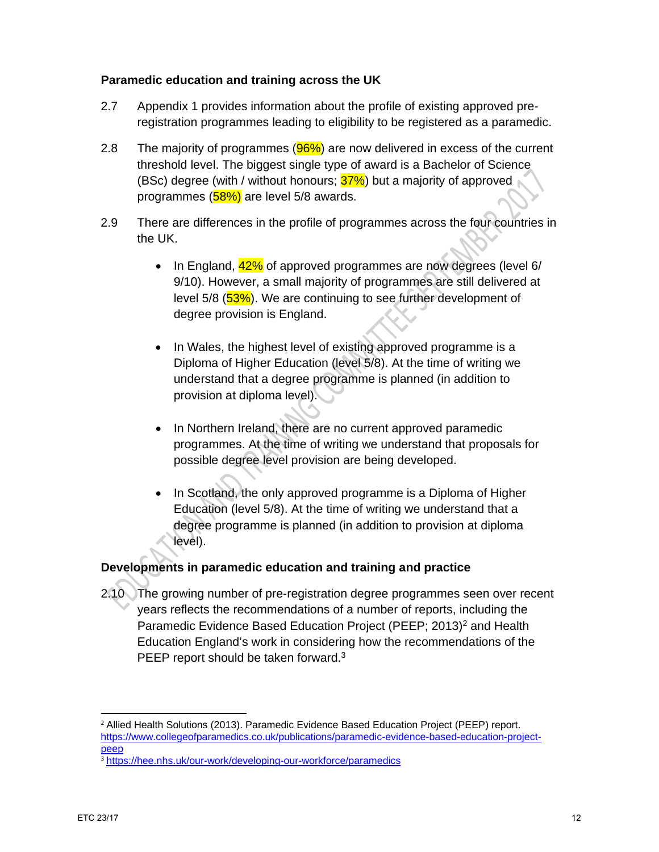#### **Paramedic education and training across the UK**

- 2.7 Appendix 1 provides information about the profile of existing approved preregistration programmes leading to eligibility to be registered as a paramedic.
- 2.8 The majority of programmes  $(96%)$  are now delivered in excess of the current threshold level. The biggest single type of award is a Bachelor of Science (BSc) degree (with / without honours;  $37\%$ ) but a majority of approved programmes (58%) are level 5/8 awards.
- 2.9 There are differences in the profile of programmes across the four countries in the UK.
	- $\bullet$  In England,  $42\%$  of approved programmes are now degrees (level 6/ 9/10). However, a small majority of programmes are still delivered at level 5/8 (53%). We are continuing to see further development of degree provision is England.
	- In Wales, the highest level of existing approved programme is a Diploma of Higher Education (level 5/8). At the time of writing we understand that a degree programme is planned (in addition to provision at diploma level).
	- In Northern Ireland, there are no current approved paramedic programmes. At the time of writing we understand that proposals for possible degree level provision are being developed.
	- In Scotland, the only approved programme is a Diploma of Higher Education (level 5/8). At the time of writing we understand that a degree programme is planned (in addition to provision at diploma level).

# **Developments in paramedic education and training and practice**

2.10 The growing number of pre-registration degree programmes seen over recent years reflects the recommendations of a number of reports, including the Paramedic Evidence Based Education Project (PEEP; 2013)<sup>2</sup> and Health Education England's work in considering how the recommendations of the PEEP report should be taken forward.<sup>3</sup>

 <sup>2</sup> Allied Health Solutions (2013). Paramedic Evidence Based Education Project (PEEP) report. https://www.collegeofparamedics.co.uk/publications/paramedic-evidence-based-education-projectpeep

<sup>&</sup>lt;sup>3</sup> https://hee.nhs.uk/our-work/developing-our-workforce/paramedics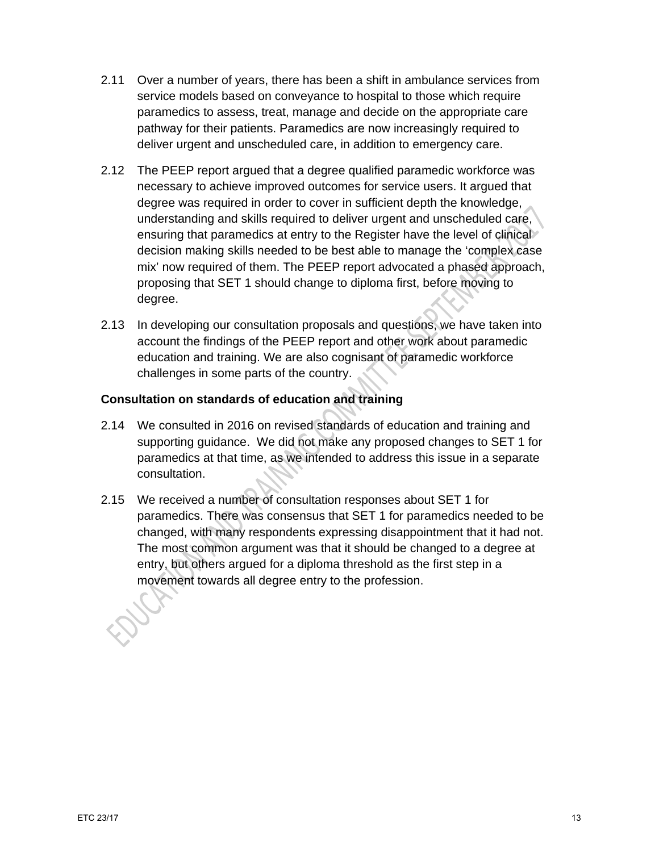- 2.11 Over a number of years, there has been a shift in ambulance services from service models based on conveyance to hospital to those which require paramedics to assess, treat, manage and decide on the appropriate care pathway for their patients. Paramedics are now increasingly required to deliver urgent and unscheduled care, in addition to emergency care.
- 2.12 The PEEP report argued that a degree qualified paramedic workforce was necessary to achieve improved outcomes for service users. It argued that degree was required in order to cover in sufficient depth the knowledge, understanding and skills required to deliver urgent and unscheduled care, ensuring that paramedics at entry to the Register have the level of clinical decision making skills needed to be best able to manage the 'complex case mix' now required of them. The PEEP report advocated a phased approach, proposing that SET 1 should change to diploma first, before moving to degree.
- 2.13 In developing our consultation proposals and questions, we have taken into account the findings of the PEEP report and other work about paramedic education and training. We are also cognisant of paramedic workforce challenges in some parts of the country.

## **Consultation on standards of education and training**

- 2.14 We consulted in 2016 on revised standards of education and training and supporting guidance. We did not make any proposed changes to SET 1 for paramedics at that time, as we intended to address this issue in a separate consultation.
- 2.15 We received a number of consultation responses about SET 1 for paramedics. There was consensus that SET 1 for paramedics needed to be changed, with many respondents expressing disappointment that it had not. The most common argument was that it should be changed to a degree at entry, but others argued for a diploma threshold as the first step in a movement towards all degree entry to the profession.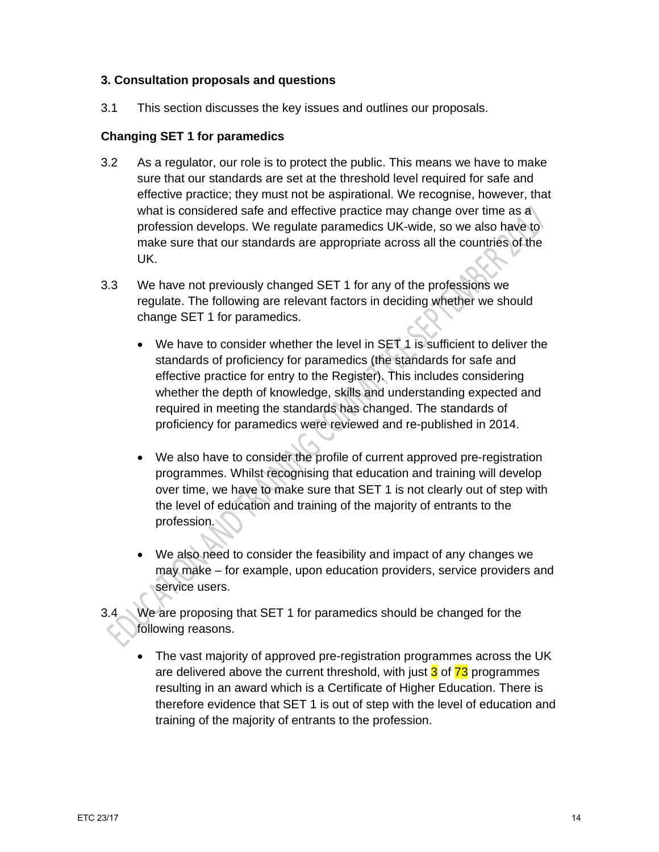## **3. Consultation proposals and questions**

3.1 This section discusses the key issues and outlines our proposals.

## **Changing SET 1 for paramedics**

- 3.2 As a regulator, our role is to protect the public. This means we have to make sure that our standards are set at the threshold level required for safe and effective practice; they must not be aspirational. We recognise, however, that what is considered safe and effective practice may change over time as a profession develops. We regulate paramedics UK-wide, so we also have to make sure that our standards are appropriate across all the countries of the UK.
- 3.3 We have not previously changed SET 1 for any of the professions we regulate. The following are relevant factors in deciding whether we should change SET 1 for paramedics.
	- We have to consider whether the level in SET 1 is sufficient to deliver the standards of proficiency for paramedics (the standards for safe and effective practice for entry to the Register). This includes considering whether the depth of knowledge, skills and understanding expected and required in meeting the standards has changed. The standards of proficiency for paramedics were reviewed and re-published in 2014.
	- We also have to consider the profile of current approved pre-registration programmes. Whilst recognising that education and training will develop over time, we have to make sure that SET 1 is not clearly out of step with the level of education and training of the majority of entrants to the profession.
	- We also need to consider the feasibility and impact of any changes we may make – for example, upon education providers, service providers and service users.
- 3.4 We are proposing that SET 1 for paramedics should be changed for the following reasons.
	- The vast majority of approved pre-registration programmes across the UK are delivered above the current threshold, with just  $3$  of  $73$  programmes resulting in an award which is a Certificate of Higher Education. There is therefore evidence that SET 1 is out of step with the level of education and training of the majority of entrants to the profession.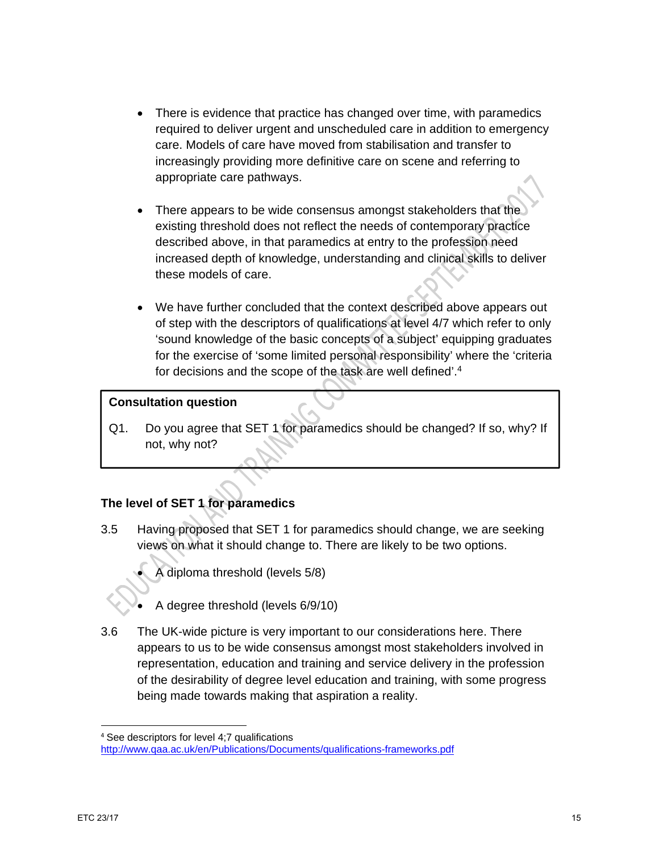- There is evidence that practice has changed over time, with paramedics required to deliver urgent and unscheduled care in addition to emergency care. Models of care have moved from stabilisation and transfer to increasingly providing more definitive care on scene and referring to appropriate care pathways.
- There appears to be wide consensus amongst stakeholders that the existing threshold does not reflect the needs of contemporary practice described above, in that paramedics at entry to the profession need increased depth of knowledge, understanding and clinical skills to deliver these models of care.
- We have further concluded that the context described above appears out of step with the descriptors of qualifications at level 4/7 which refer to only 'sound knowledge of the basic concepts of a subject' equipping graduates for the exercise of 'some limited personal responsibility' where the 'criteria for decisions and the scope of the task are well defined'.4

## **Consultation question**

Q1. Do you agree that SET 1 for paramedics should be changed? If so, why? If not, why not?

# **The level of SET 1 for paramedics**

- 3.5 Having proposed that SET 1 for paramedics should change, we are seeking views on what it should change to. There are likely to be two options.
	- A diploma threshold (levels 5/8)
	- A degree threshold (levels 6/9/10)
- 3.6 The UK-wide picture is very important to our considerations here. There appears to us to be wide consensus amongst most stakeholders involved in representation, education and training and service delivery in the profession of the desirability of degree level education and training, with some progress being made towards making that aspiration a reality.

 <sup>4</sup> See descriptors for level 4;7 qualifications

http://www.qaa.ac.uk/en/Publications/Documents/qualifications-frameworks.pdf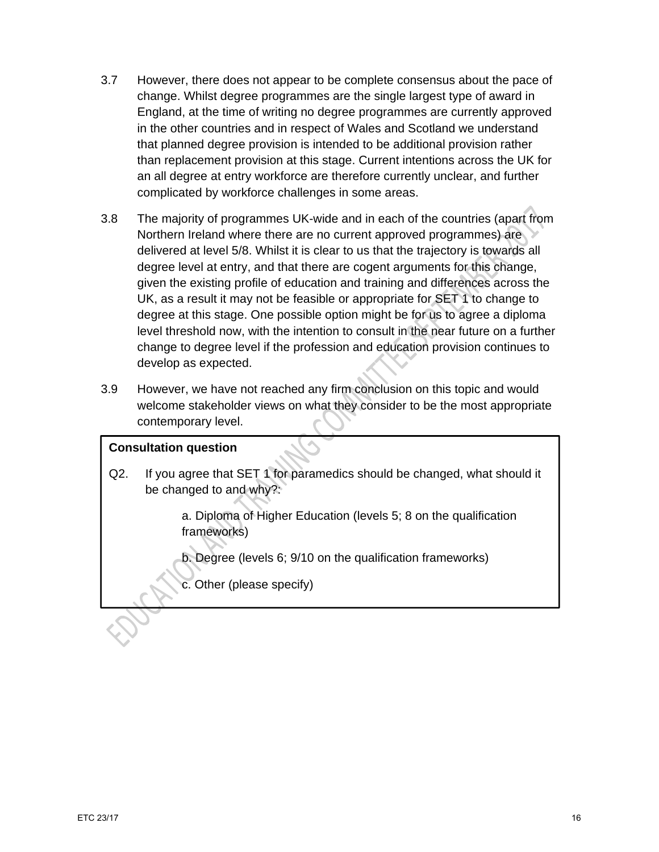- 3.7 However, there does not appear to be complete consensus about the pace of change. Whilst degree programmes are the single largest type of award in England, at the time of writing no degree programmes are currently approved in the other countries and in respect of Wales and Scotland we understand that planned degree provision is intended to be additional provision rather than replacement provision at this stage. Current intentions across the UK for an all degree at entry workforce are therefore currently unclear, and further complicated by workforce challenges in some areas.
- 3.8 The majority of programmes UK-wide and in each of the countries (apart from Northern Ireland where there are no current approved programmes) are delivered at level 5/8. Whilst it is clear to us that the trajectory is towards all degree level at entry, and that there are cogent arguments for this change, given the existing profile of education and training and differences across the UK, as a result it may not be feasible or appropriate for SET 1 to change to degree at this stage. One possible option might be for us to agree a diploma level threshold now, with the intention to consult in the near future on a further change to degree level if the profession and education provision continues to develop as expected.
- 3.9 However, we have not reached any firm conclusion on this topic and would welcome stakeholder views on what they consider to be the most appropriate contemporary level.

## **Consultation question**

Q2. If you agree that SET 1 for paramedics should be changed, what should it be changed to and why?:

> a. Diploma of Higher Education (levels 5; 8 on the qualification frameworks)

b. Degree (levels 6; 9/10 on the qualification frameworks)

c. Other (please specify)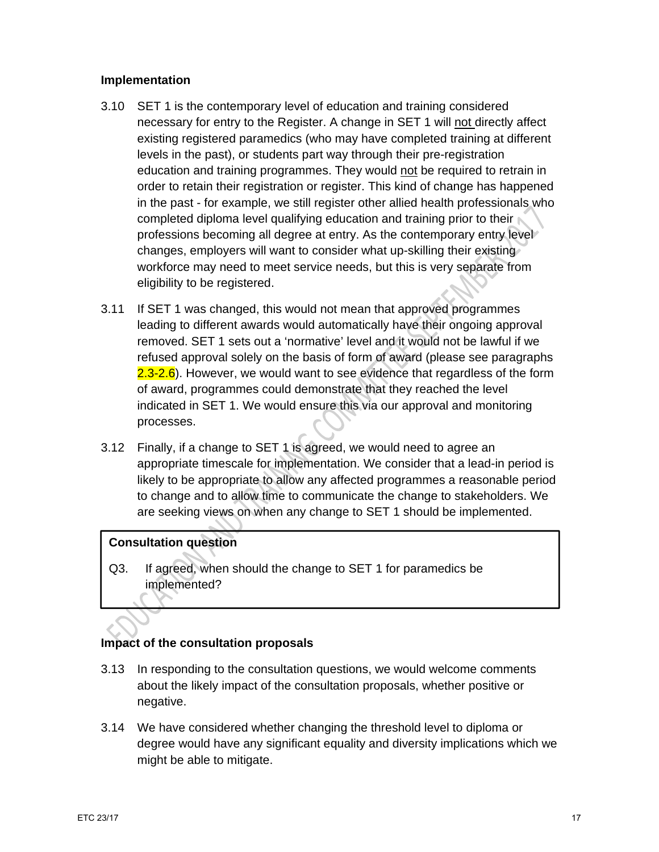#### **Implementation**

- 3.10 SET 1 is the contemporary level of education and training considered necessary for entry to the Register. A change in SET 1 will not directly affect existing registered paramedics (who may have completed training at different levels in the past), or students part way through their pre-registration education and training programmes. They would not be required to retrain in order to retain their registration or register. This kind of change has happened in the past - for example, we still register other allied health professionals who completed diploma level qualifying education and training prior to their professions becoming all degree at entry. As the contemporary entry level changes, employers will want to consider what up-skilling their existing workforce may need to meet service needs, but this is very separate from eligibility to be registered.
- 3.11 If SET 1 was changed, this would not mean that approved programmes leading to different awards would automatically have their ongoing approval removed. SET 1 sets out a 'normative' level and it would not be lawful if we refused approval solely on the basis of form of award (please see paragraphs 2.3-2.6). However, we would want to see evidence that regardless of the form of award, programmes could demonstrate that they reached the level indicated in SET 1. We would ensure this via our approval and monitoring processes.
- 3.12 Finally, if a change to SET 1 is agreed, we would need to agree an appropriate timescale for implementation. We consider that a lead-in period is likely to be appropriate to allow any affected programmes a reasonable period to change and to allow time to communicate the change to stakeholders. We are seeking views on when any change to SET 1 should be implemented.

# **Consultation question**

Q3. If agreed, when should the change to SET 1 for paramedics be implemented?

# **Impact of the consultation proposals**

- 3.13 In responding to the consultation questions, we would welcome comments about the likely impact of the consultation proposals, whether positive or negative.
- 3.14 We have considered whether changing the threshold level to diploma or degree would have any significant equality and diversity implications which we might be able to mitigate.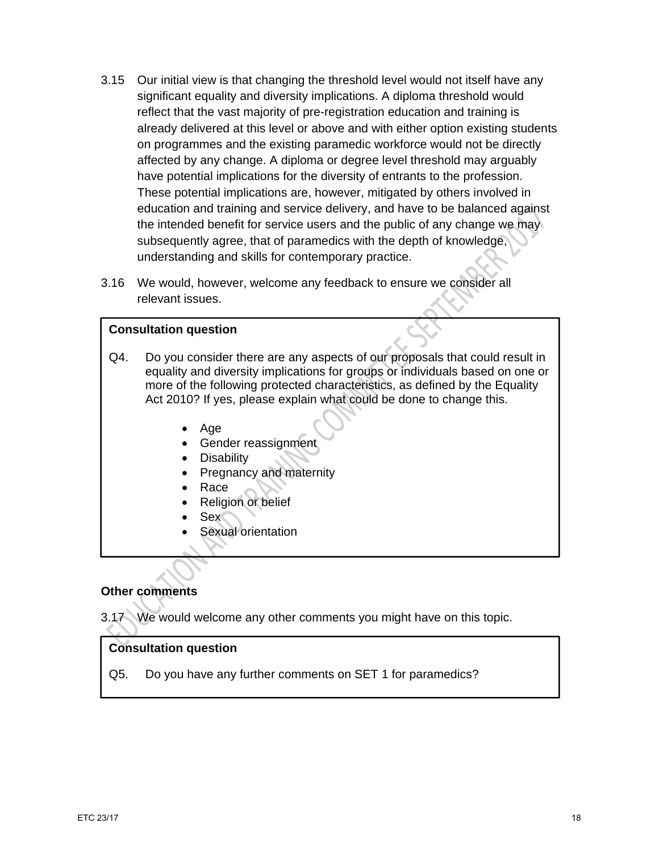- 3.15 Our initial view is that changing the threshold level would not itself have any significant equality and diversity implications. A diploma threshold would reflect that the vast majority of pre-registration education and training is already delivered at this level or above and with either option existing students on programmes and the existing paramedic workforce would not be directly affected by any change. A diploma or degree level threshold may arguably have potential implications for the diversity of entrants to the profession. These potential implications are, however, mitigated by others involved in education and training and service delivery, and have to be balanced against the intended benefit for service users and the public of any change we may subsequently agree, that of paramedics with the depth of knowledge, understanding and skills for contemporary practice.
- 3.16 We would, however, welcome any feedback to ensure we consider all relevant issues.

## **Consultation question**

- Q4. Do you consider there are any aspects of our proposals that could result in equality and diversity implications for groups or individuals based on one or more of the following protected characteristics, as defined by the Equality Act 2010? If yes, please explain what could be done to change this.
	- Age
	- Gender reassignment
	- Disability
	- Pregnancy and maternity
	- Race
	- Religion or belief
	- Sex
	- Sexual orientation

## **Other comments**

3.17 We would welcome any other comments you might have on this topic.

## **Consultation question**

Q5. Do you have any further comments on SET 1 for paramedics?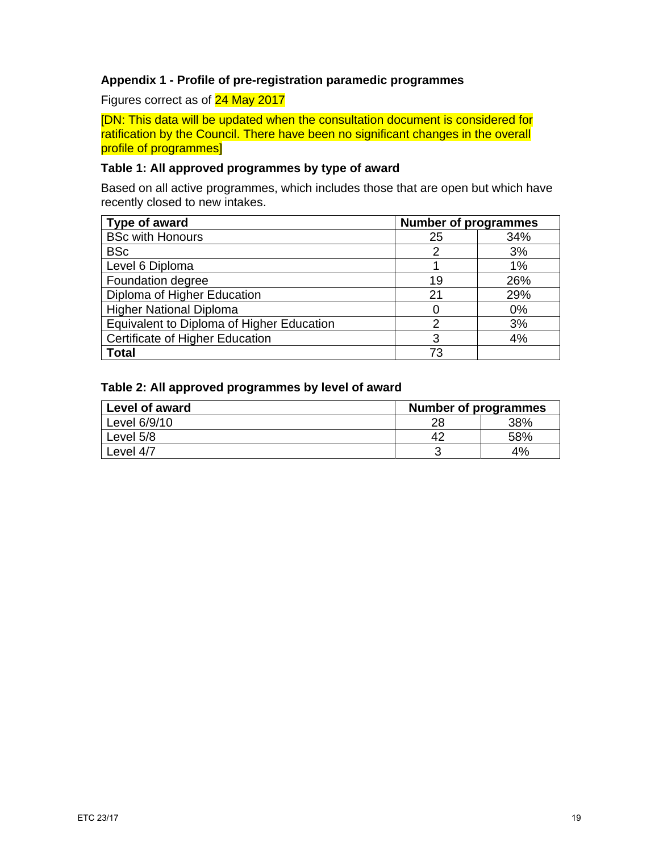## **Appendix 1 - Profile of pre-registration paramedic programmes**

Figures correct as of 24 May 2017

[DN: This data will be updated when the consultation document is considered for ratification by the Council. There have been no significant changes in the overall profile of programmes]

#### **Table 1: All approved programmes by type of award**

Based on all active programmes, which includes those that are open but which have recently closed to new intakes.

| Type of award                             | <b>Number of programmes</b> |     |
|-------------------------------------------|-----------------------------|-----|
| <b>BSc with Honours</b>                   | 25                          | 34% |
| <b>BSc</b>                                | 2                           | 3%  |
| Level 6 Diploma                           |                             | 1%  |
| Foundation degree                         | 19                          | 26% |
| Diploma of Higher Education               | 21                          | 29% |
| <b>Higher National Diploma</b>            | 0                           | 0%  |
| Equivalent to Diploma of Higher Education | 2                           | 3%  |
| Certificate of Higher Education           | 3                           | 4%  |
| <b>Total</b>                              | 73                          |     |

#### **Table 2: All approved programmes by level of award**

| Level of award | <b>Number of programmes</b> |     |  |
|----------------|-----------------------------|-----|--|
| Level 6/9/10   | 28                          | 38% |  |
| Level 5/8      |                             | 58% |  |
| Level 4/7      |                             | 4%  |  |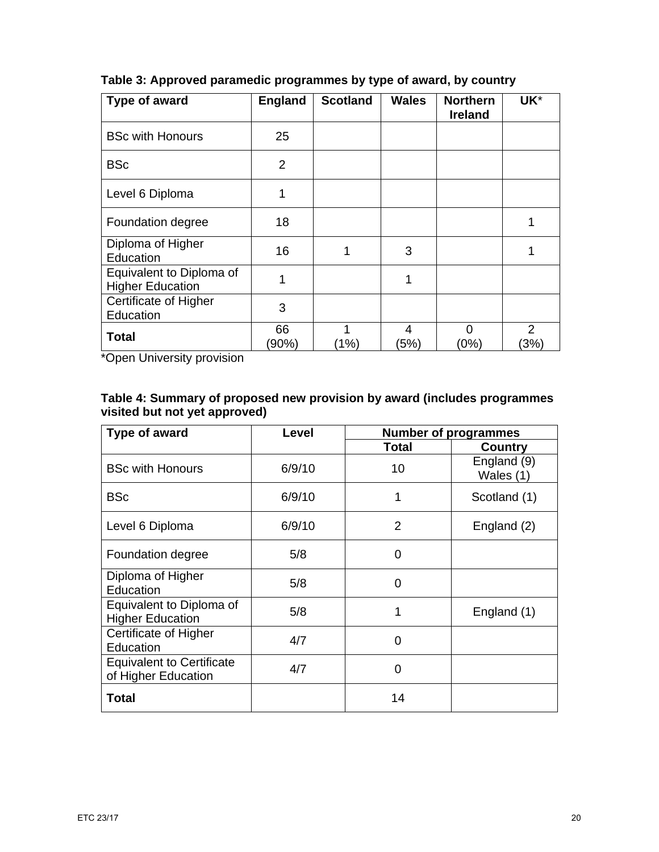| Type of award                                       | <b>England</b> | <b>Scotland</b> | <b>Wales</b> | <b>Northern</b><br><b>Ireland</b> | UK*                     |
|-----------------------------------------------------|----------------|-----------------|--------------|-----------------------------------|-------------------------|
| <b>BSc with Honours</b>                             | 25             |                 |              |                                   |                         |
| <b>BSc</b>                                          | $\overline{2}$ |                 |              |                                   |                         |
| Level 6 Diploma                                     | 1              |                 |              |                                   |                         |
| Foundation degree                                   | 18             |                 |              |                                   | 1                       |
| Diploma of Higher<br>Education                      | 16             | 1               | 3            |                                   | 1                       |
| Equivalent to Diploma of<br><b>Higher Education</b> | 1              |                 | 1            |                                   |                         |
| <b>Certificate of Higher</b><br>Education           | 3              |                 |              |                                   |                         |
| <b>Total</b>                                        | 66<br>(90%)    | 1<br>(1%)       | 4<br>(5%)    | $\Omega$<br>(0%)                  | $\overline{2}$<br>$3\%$ |

**Table 3: Approved paramedic programmes by type of award, by country** 

\*Open University provision

| Table 4: Summary of proposed new provision by award (includes programmes |  |
|--------------------------------------------------------------------------|--|
| visited but not yet approved)                                            |  |

| Type of award                                           | Level  | <b>Number of programmes</b> |                          |
|---------------------------------------------------------|--------|-----------------------------|--------------------------|
|                                                         |        | <b>Total</b>                | <b>Country</b>           |
| <b>BSc with Honours</b>                                 | 6/9/10 | 10                          | England (9)<br>Wales (1) |
| <b>BSc</b>                                              | 6/9/10 | 1                           | Scotland (1)             |
| Level 6 Diploma                                         | 6/9/10 | $\overline{2}$              | England (2)              |
| Foundation degree                                       | 5/8    | 0                           |                          |
| Diploma of Higher<br>Education                          | 5/8    | 0                           |                          |
| Equivalent to Diploma of<br><b>Higher Education</b>     | 5/8    | 1                           | England (1)              |
| <b>Certificate of Higher</b><br>Education               | 4/7    | 0                           |                          |
| <b>Equivalent to Certificate</b><br>of Higher Education | 4/7    | 0                           |                          |
| <b>Total</b>                                            |        | 14                          |                          |